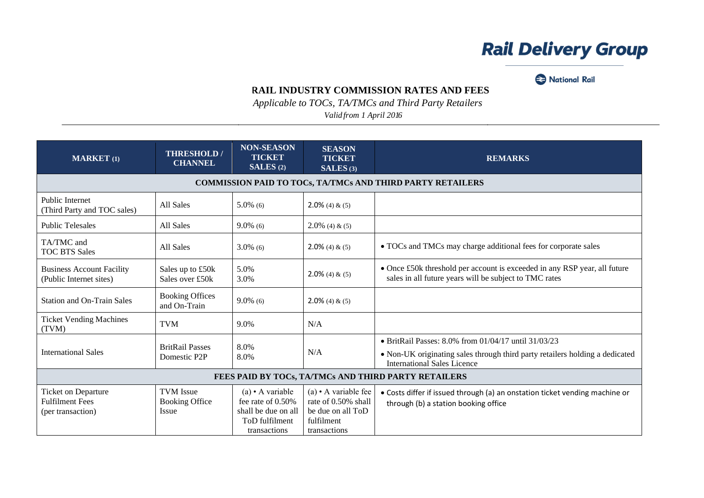## **Rail Delivery Group**

National Rail

## **RAIL INDUSTRY COMMISSION RATES AND FEES**

*Applicable to TOCs, TA/TMCs and Third Party Retailers*

*Valid from 1 April 2016*

| <b>MARKET</b> (1)                                                  | <b>THRESHOLD/</b><br><b>CHANNEL</b>                       | <b>NON-SEASON</b><br><b>TICKET</b><br>SALES(2)                                                       | <b>SEASON</b><br><b>TICKET</b><br>SALES(3)                                                             | <b>REMARKS</b>                                                                                                                      |  |
|--------------------------------------------------------------------|-----------------------------------------------------------|------------------------------------------------------------------------------------------------------|--------------------------------------------------------------------------------------------------------|-------------------------------------------------------------------------------------------------------------------------------------|--|
|                                                                    |                                                           |                                                                                                      |                                                                                                        | COMMISSION PAID TO TOCs, TA/TMCs AND THIRD PARTY RETAILERS                                                                          |  |
| <b>Public Internet</b><br>(Third Party and TOC sales)              | All Sales                                                 | $5.0\%$ (6)                                                                                          | $2.0\%$ (4) & (5)                                                                                      |                                                                                                                                     |  |
| <b>Public Telesales</b>                                            | All Sales                                                 | $9.0\%$ (6)                                                                                          | $2.0\%$ (4) & (5)                                                                                      |                                                                                                                                     |  |
| TA/TMC and<br><b>TOC BTS Sales</b>                                 | All Sales                                                 | $3.0\%$ (6)                                                                                          | $2.0\%$ (4) & (5)                                                                                      | • TOCs and TMCs may charge additional fees for corporate sales                                                                      |  |
| <b>Business Account Facility</b><br>(Public Internet sites)        | Sales up to £50k<br>Sales over £50k                       | 5.0%<br>3.0%                                                                                         | $2.0\%$ (4) & (5)                                                                                      | • Once £50k threshold per account is exceeded in any RSP year, all future<br>sales in all future years will be subject to TMC rates |  |
| <b>Station and On-Train Sales</b>                                  | <b>Booking Offices</b><br>and On-Train                    | $9.0\%$ (6)                                                                                          | $2.0\%$ (4) & (5)                                                                                      |                                                                                                                                     |  |
| <b>Ticket Vending Machines</b><br>(TVM)                            | <b>TVM</b>                                                | 9.0%                                                                                                 | N/A                                                                                                    |                                                                                                                                     |  |
|                                                                    | <b>BritRail Passes</b>                                    | 8.0%                                                                                                 |                                                                                                        | · BritRail Passes: 8.0% from 01/04/17 until 31/03/23                                                                                |  |
| <b>International Sales</b>                                         | Domestic P2P                                              | 8.0%                                                                                                 | N/A                                                                                                    | • Non-UK originating sales through third party retailers holding a dedicated<br><b>International Sales Licence</b>                  |  |
|                                                                    | FEES PAID BY TOCs, TA/TMCs AND THIRD PARTY RETAILERS      |                                                                                                      |                                                                                                        |                                                                                                                                     |  |
| Ticket on Departure<br><b>Fulfilment Fees</b><br>(per transaction) | <b>TVM</b> Issue<br><b>Booking Office</b><br><b>Issue</b> | $(a) \cdot A$ variable<br>fee rate of 0.50%<br>shall be due on all<br>ToD fulfilment<br>transactions | (a) $\bullet$ A variable fee<br>rate of 0.50% shall<br>be due on all ToD<br>fulfilment<br>transactions | • Costs differ if issued through (a) an onstation ticket vending machine or<br>through (b) a station booking office                 |  |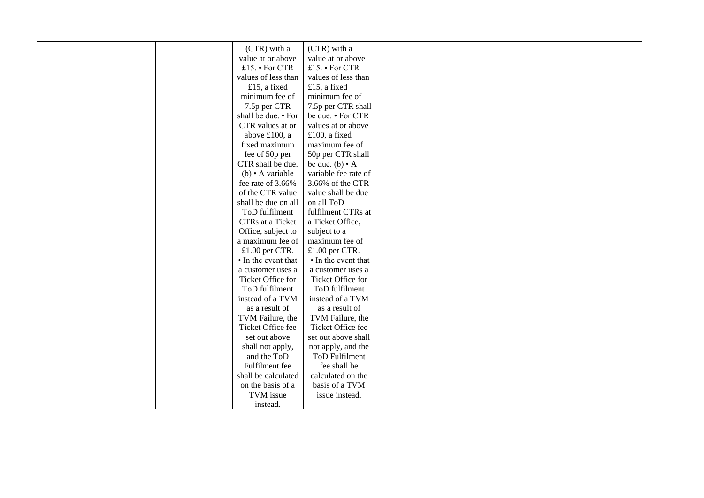| (CTR) with a           | (CTR) with a          |  |
|------------------------|-----------------------|--|
| value at or above      | value at or above     |  |
| £15. • For CTR         | £15. • For CTR        |  |
| values of less than    | values of less than   |  |
| £15, a fixed           | £15, a fixed          |  |
| minimum fee of         | minimum fee of        |  |
| 7.5p per CTR           | 7.5p per CTR shall    |  |
| shall be due. • For    | be due. • For CTR     |  |
| CTR values at or       | values at or above    |  |
| above £100, a          | £100, a fixed         |  |
| fixed maximum          | maximum fee of        |  |
| fee of 50p per         | 50p per CTR shall     |  |
| CTR shall be due.      | be due. $(b) \cdot A$ |  |
| $(b) \cdot A$ variable | variable fee rate of  |  |
| fee rate of 3.66%      | 3.66% of the CTR      |  |
| of the CTR value       | value shall be due    |  |
| shall be due on all    | on all ToD            |  |
| ToD fulfilment         | fulfilment CTRs at    |  |
| CTRs at a Ticket       | a Ticket Office,      |  |
| Office, subject to     | subject to a          |  |
| a maximum fee of       | maximum fee of        |  |
| £1.00 per CTR.         | £1.00 per CTR.        |  |
| • In the event that    | • In the event that   |  |
| a customer uses a      | a customer uses a     |  |
| Ticket Office for      | Ticket Office for     |  |
| ToD fulfilment         | ToD fulfilment        |  |
| instead of a TVM       | instead of a TVM      |  |
| as a result of         | as a result of        |  |
| TVM Failure, the       | TVM Failure, the      |  |
| Ticket Office fee      | Ticket Office fee     |  |
| set out above          | set out above shall   |  |
| shall not apply,       | not apply, and the    |  |
| and the ToD            | <b>ToD Fulfilment</b> |  |
| Fulfilment fee         | fee shall be          |  |
| shall be calculated    | calculated on the     |  |
| on the basis of a      | basis of a TVM        |  |
| TVM issue              | issue instead.        |  |
| instead.               |                       |  |